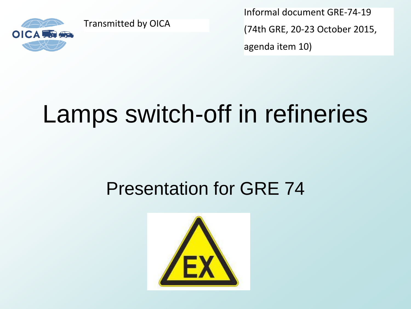

Transmitted by OICA

Informal document GRE-74-19 (74th GRE, 20-23 October 2015, agenda item 10)

# Lamps switch-off in refineries

# Presentation for GRE 74

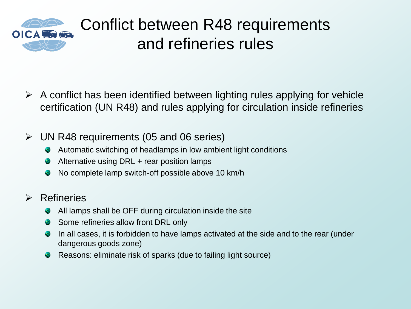

### Conflict between R48 requirements and refineries rules

- $\triangleright$  A conflict has been identified between lighting rules applying for vehicle certification (UN R48) and rules applying for circulation inside refineries
- $\triangleright$  UN R48 requirements (05 and 06 series)
	- Automatic switching of headlamps in low ambient light conditions ۰
	- Alternative using DRL + rear position lamps œ
	- No complete lamp switch-off possible above 10 km/h

#### $\triangleright$  Refineries

- All lamps shall be OFF during circulation inside the site œ
- Some refineries allow front DRL only ۰
- In all cases, it is forbidden to have lamps activated at the side and to the rear (under ۰ dangerous goods zone)
- Reasons: eliminate risk of sparks (due to failing light source)۰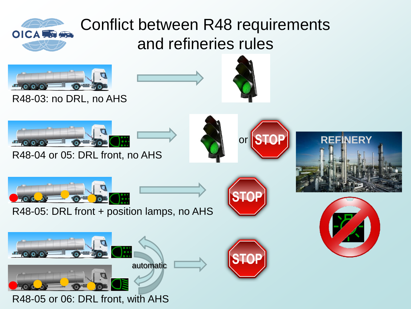

## Conflict between R48 requirements and refineries rules



R48-03: no DRL, no AHS





R48-04 or 05: DRL front, no AHS







R48-05: DRL front + position lamps, no AHS







R48-05 or 06: DRL front, with AHS